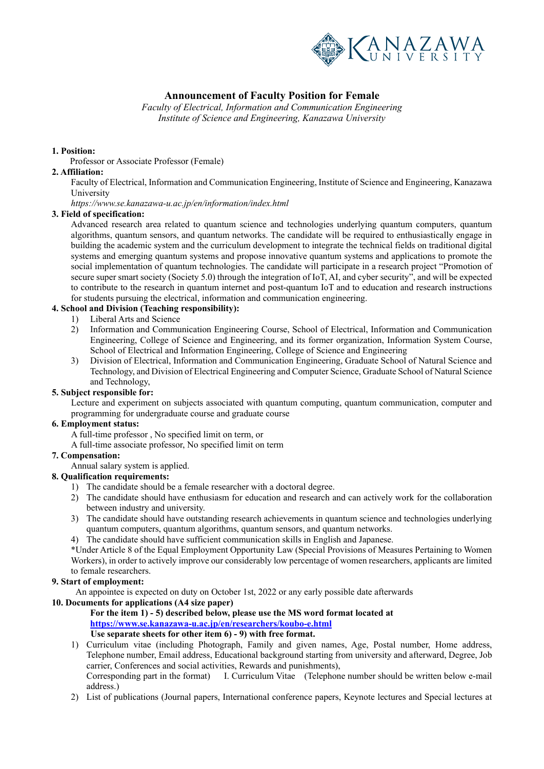

# **Announcement of Faculty Position for Female**

*Faculty of Electrical, Information and Communication Engineering Institute of Science and Engineering, Kanazawa University*

### **1. Position:**

Professor or Associate Professor (Female)

### **2. Affiliation:**

Faculty of Electrical, Information and Communication Engineering, Institute of Science and Engineering, Kanazawa University

*https://www.se.kanazawa-u.ac.jp/en/information/index.html* 

### **3. Field of specification:**

Advanced research area related to quantum science and technologies underlying quantum computers, quantum algorithms, quantum sensors, and quantum networks. The candidate will be required to enthusiastically engage in building the academic system and the curriculum development to integrate the technical fields on traditional digital systems and emerging quantum systems and propose innovative quantum systems and applications to promote the social implementation of quantum technologies. The candidate will participate in a research project "Promotion of secure super smart society (Society 5.0) through the integration of IoT, AI, and cyber security", and will be expected to contribute to the research in quantum internet and post-quantum IoT and to education and research instructions for students pursuing the electrical, information and communication engineering.

### **4. School and Division (Teaching responsibility):**

- 1) Liberal Arts and Science
- 2) Information and Communication Engineering Course, School of Electrical, Information and Communication Engineering, College of Science and Engineering, and its former organization, Information System Course, School of Electrical and Information Engineering, College of Science and Engineering
- 3) Division of Electrical, Information and Communication Engineering, Graduate School of Natural Science and Technology, and Division of Electrical Engineering and Computer Science, Graduate School of Natural Science and Technology,

### **5. Subject responsible for:**

Lecture and experiment on subjects associated with quantum computing, quantum communication, computer and programming for undergraduate course and graduate course

### **6. Employment status:**

A full-time professor , No specified limit on term, or

A full-time associate professor, No specified limit on term

### **7. Compensation:**

Annual salary system is applied.

### **8. Qualification requirements:**

- 1) The candidate should be a female researcher with a doctoral degree.
- 2) The candidate should have enthusiasm for education and research and can actively work for the collaboration between industry and university.
- 3) The candidate should have outstanding research achievements in quantum science and technologies underlying quantum computers, quantum algorithms, quantum sensors, and quantum networks.
- 4) The candidate should have sufficient communication skills in English and Japanese.

\*Under Article 8 of the Equal Employment Opportunity Law (Special Provisions of Measures Pertaining to Women Workers), in order to actively improve our considerably low percentage of women researchers, applicants are limited to female researchers.

### **9. Start of employment:**

An appointee is expected on duty on October 1st, 2022 or any early possible date afterwards

### **10. Documents for applications (A4 size paper)**

#### **For the item 1) - 5) described below, please use the MS word format located at https://www.se.kanazawa-u.ac.jp/en/researchers/koubo-e.html Use separate sheets for other item 6) - 9) with free format.**

1) Curriculum vitae (including Photograph, Family and given names, Age, Postal number, Home address, Telephone number, Email address, Educational background starting from university and afterward, Degree, Job carrier, Conferences and social activities, Rewards and punishments), Corresponding part in the format) I. Curriculum Vitae (Telephone number should be written below e-mail

address.)

2) List of publications (Journal papers, International conference papers, Keynote lectures and Special lectures at